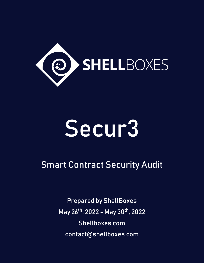

# Secur3

# Smart Contract Security Audit

Prepared by ShellBoxes May 26th, 2022 - May 30th, 2022 [Shellboxes.com](https://shellboxes.com) [contact@shellboxes.com](mailto:contact@shellboxes.com)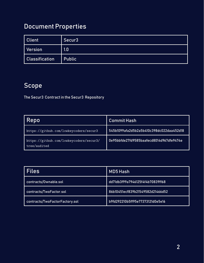# Document Properties

| <b>Client</b>         | Secur <sub>3</sub> |
|-----------------------|--------------------|
| Version               | 1.0                |
| <b>Classification</b> | <b>Public</b>      |

# Scope

The Secur3 Contract in the Secur3 Repository

| Repo                                                    | <b>Commit Hash</b>                       |  |
|---------------------------------------------------------|------------------------------------------|--|
| https://github.com/lowkeycoders/secur3                  | 545b1099afa2d5b2a5b410c398dc022daa452d18 |  |
| https://github.com/lowkeycoders/secur3/<br>tree/audited | 0e95bbfde27fd9585baafecd8014d967dfe9474e |  |

| <b>Files</b>                   | <b>MD5 Hash</b>                  |  |
|--------------------------------|----------------------------------|--|
| contracts/Ownable.sol          | dd71db3f99a7946125f4f4b70839ff68 |  |
| contracts/TwoFactor.sol        | 86b10451ecf839b21549582d21466d52 |  |
| contracts/TwoFactorFactory.sol | b9fd292210b5ff95e77373121d0e5e16 |  |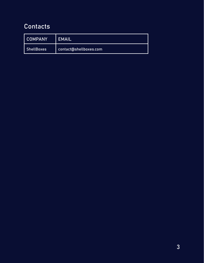# **Contacts**

| <b>COMPANY</b>    | LEMAIL                 |
|-------------------|------------------------|
| <b>ShellBoxes</b> | contact@shellboxes.com |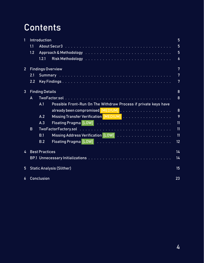# Contents

| 1               | Introduction                     |                          |                                                                                                                    | 5                |
|-----------------|----------------------------------|--------------------------|--------------------------------------------------------------------------------------------------------------------|------------------|
|                 | 1.1                              |                          |                                                                                                                    | 5                |
|                 | 1.2                              |                          | Approach & Methodology research and contained a series and contained a series and contained a series and a ser     | 5                |
|                 |                                  | 1.2.1                    | Risk Methodology research research research research research Risk Methodology research research research research | $\boldsymbol{6}$ |
| 2 <sup>1</sup>  |                                  | <b>Findings Overview</b> |                                                                                                                    | 7                |
|                 | 2.1                              |                          |                                                                                                                    | 7                |
|                 | 2.2                              |                          |                                                                                                                    | 7                |
| $\overline{3}$  | <b>Finding Details</b>           |                          |                                                                                                                    |                  |
|                 | A                                |                          |                                                                                                                    | 8                |
|                 |                                  | A.1                      | Possible Front-Run On The Withdraw Process if private keys have                                                    |                  |
|                 |                                  |                          |                                                                                                                    | 8                |
|                 |                                  | A.2                      | Missing Transfer Verification [MEDIUM]                                                                             | 9                |
|                 |                                  | A.3                      |                                                                                                                    | 11               |
|                 | B                                |                          |                                                                                                                    | 11               |
|                 |                                  | B.1                      |                                                                                                                    | 11               |
|                 |                                  | B.2                      |                                                                                                                    | 12               |
| 4               | <b>Best Practices</b>            |                          |                                                                                                                    | 14               |
|                 |                                  |                          |                                                                                                                    | 14               |
| $5\phantom{.0}$ | <b>Static Analysis (Slither)</b> |                          |                                                                                                                    | 15               |
| 6               |                                  | <b>Conclusion</b>        |                                                                                                                    | 23               |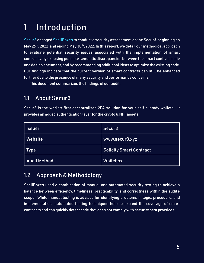# <span id="page-4-0"></span>1 Introduction

Secur3 engaged ShellBoxes to conduct a security assessment on the Secur3 beginning on May 26<sup>th</sup>, 2022 and ending May 30<sup>th</sup>, 2022. In this report, we detail our methodical approach to evaluate potential security issues associated with the implementation of smart contracts, by exposing possible semantic discrepancies between the smart contract code and design document, and by recommending additional ideas to optimize the existing code. Our findings indicate that the current version of smart contracts can still be enhanced further due to the presence of many security and performance concerns.

This document summarizes the findings of our audit.

### <span id="page-4-1"></span>1.1 About Secur3

Secur3 is the world's first decentralised 2FA solution for your self custody wallets. It provides an added authentication layer for the crypto & NFT assets.

| Issuer              | Secur3                         |
|---------------------|--------------------------------|
| Website             | www.secur3.xyz                 |
| Type                | <b>Solidity Smart Contract</b> |
| <b>Audit Method</b> | Whitebox                       |

### <span id="page-4-2"></span>1.2 Approach & Methodology

ShellBoxes used a combination of manual and automated security testing to achieve a balance between efficiency, timeliness, practicability, and correctness within the audit's scope. While manual testing is advised for identifying problems in logic, procedure, and implementation, automated testing techniques help to expand the coverage of smart contracts and can quickly detect code that does not comply with security best practices.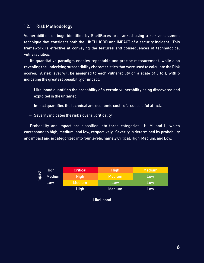#### <span id="page-5-0"></span>1.2.1 Risk Methodology

Vulnerabilities or bugs identified by ShellBoxes are ranked using a risk assessment technique that considers both the LIKELIHOOD and IMPACT of a security incident. This framework is effective at conveying the features and consequences of technological vulnerabilities.

Its quantitative paradigm enables repeatable and precise measurement, while also revealing the underlying susceptibility characteristics that were used to calculate the Risk scores. A risk level will be assigned to each vulnerability on a scale of 5 to 1, with 5 indicating the greatest possibility or impact.

- − Likelihood quantifies the probability of a certain vulnerability being discovered and exploited in the untamed.
- − Impact quantifies the technical and economic costs of a successful attack.
- − Severity indicates the risk's overall criticality.

Probability and impact are classified into three categories: H, M, and L, which correspond to high, medium, and low, respectively. Severity is determined by probability and impact and is categorized into four levels, namely Critical, High, Medium, and Low.

| $\overline{a}$<br><b>B</b><br>$\overline{\epsilon}$ | <b>High</b>   | <b>Critical</b> | <b>High</b>   | Medium |
|-----------------------------------------------------|---------------|-----------------|---------------|--------|
|                                                     | Medium<br>Low | <b>High</b>     | <b>Medium</b> | Low    |
|                                                     |               | <b>Medium</b>   | Low           | Low    |
|                                                     |               | <b>High</b>     | <b>Medium</b> | Low    |

Likelihood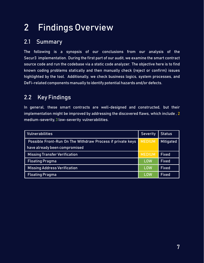# <span id="page-6-0"></span>2 Findings Overview

### <span id="page-6-1"></span>2.1 Summary

The following is a synopsis of our conclusions from our analysis of the Secur3 implementation. During the first part of our audit, we examine the smart contract source code and run the codebase via a static code analyzer. The objective here is to find known coding problems statically and then manually check (reject or confirm) issues highlighted by the tool. Additionally, we check business logics, system processes, and DeFi-related components manually to identify potential hazards and/or defects.

### <span id="page-6-2"></span>2.2 Key Findings

In general, these smart contracts are well-designed and constructed, but their implementation might be improved by addressing the discovered flaws, which include , 2 medium-severity, 3 low-severity vulnerabilities.

| <b>Vulnerabilities</b>                                     |               | Status           |
|------------------------------------------------------------|---------------|------------------|
| Possible Front-Run On The Withdraw Process if private keys | <b>MEDIUM</b> | <b>Mitigated</b> |
| have already been compromised                              |               |                  |
| <b>Missing Transfer Verification</b>                       |               | <b>Fixed</b>     |
| <b>Floating Pragma</b>                                     |               | <b>Fixed</b>     |
| <b>Missing Address Verification</b>                        | <b>LOW</b>    | <b>Fixed</b>     |
| <b>Floating Pragma</b>                                     | LOW           | <b>Fixed</b>     |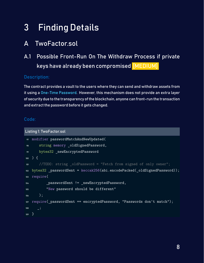# <span id="page-7-0"></span>3 Finding Details

# <span id="page-7-1"></span>A TwoFactor.sol

<span id="page-7-2"></span>A.1 Possible Front-Run On The Withdraw Process if private keys have already been compromised [MEDIUM]

#### <span id="page-7-3"></span>Description:

The contract provides a vault to the users where they can send and withdraw assets from it using a One-Time Password. However, this mechanism does not provide an extra layer of security due to the transparency of the blockchain, anyone can front-run the transaction and extract the password before it gets changed.

#### Code:

```
Listing 1: TwoFactor.sol
97 modifier passwordMatchAndNewUpdated(
98 string memory _oldSignedPassword,
99 bytes32 _newEncryptedPassword
100 ) {
101 //TODO: string _oldPassword = "Fetch from signed of only owner";
102 bytes32 _passwordSent = keccak256(abi.encodePacked(_oldSignedPassword));
103 require(
104 passwordSent != newEncryptedPassword,
105 "New password should be different"
106 );
107 require( passwordSent == encryptedPassword, "Passwords don't match");
108 \qquad \qquad \_ \;109 }
```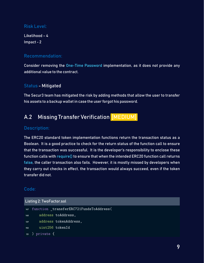#### Risk Level:

Likelihood – 4 Impact - 2

#### Recommendation:

Consider removing the One-Time Password implementation, as it does not provide any additional value to the contract.

#### <span id="page-8-1"></span>Status - Mitigated

The Secur3 team has mitigated the risk by adding methods that allow the user to transfer his assets to a backup wallet in case the user forgot his password.

### <span id="page-8-0"></span>A.2 Missing Transfer Verification [MEDIUM]

#### <span id="page-8-2"></span>Description:

The ERC20 standard token implementation functions return the transaction status as a Boolean. It is a good practice to check for the return status of the function call to ensure that the transaction was successful. It is the developer's responsibility to enclose these function calls with require() to ensure that when the intended ERC20 function call returns false, the caller transaction also fails. However, it is mostly missed by developers when they carry out checks in effect, the transaction would always succeed, even if the token transfer did not.

#### Code:

#### Listing 2: TwoFactor.sol

```
147 function _transferERC721FundsToAddress(
148 address toAddress,
149 address tokenAddress,
150 uint256 tokenId
151 ) private {
```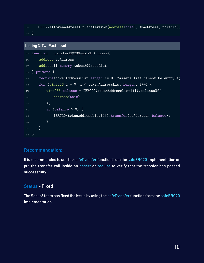<sup>152</sup> IERC721(tokenAddress).transferFrom(address(this), toAddress, tokenId); <sup>153</sup> }

#### Listing 3: TwoFactor.sol

```
175 function _transferERC20FundsToAddress(
176 address toAddress,
177 address[] memory tokenAddressList
178 ) private {
179 require(tokenAddressList.length != 0, "Assets list cannot be empty");
180 for (uint256 i = 0; i < tokenAddressList.length; i++) {
181 uint256 balance = IERC20(tokenAddressList[i]).balanceOf(
182 address(this)
\frac{183}{183} );
184 if (balance > 0) {
185 IERC20(tokenAddressList[i]).transfer(toAddress, balance);
186 }
187 }
188 }
```
#### Recommendation:

It is recommended to use the safeTransfer function from the safeERC20 implementation or put the transfer call inside an assert or require to verify that the transfer has passed successfully.

#### <span id="page-9-0"></span>Status - Fixed

The Secur3 team has fixed the issue by using the safeTransfer function from the safeERC20 implementation.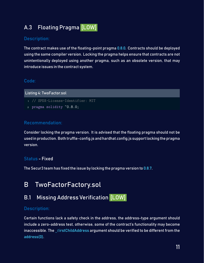# <span id="page-10-0"></span>A.3 Floating Pragma [LOW]

#### <span id="page-10-3"></span>Description:

The contract makes use of the floating-point pragma 0.8.0. Contracts should be deployed using the same compiler version. Locking the pragma helps ensure that contracts are not unintentionally deployed using another pragma, such as an obsolete version, that may introduce issues in the contract system.

#### Code:

Listing 4: TwoFactor.sol

- <sup>1</sup> // SPDX-License-Identifier: MIT
- <sup>2</sup> pragma solidity ^0.8.0;

#### Recommendation:

Consider locking the pragma version. It is advised that the floating pragma should not be used in production. Both truffle-config.js and hardhat.config.js support locking the pragma version.

#### <span id="page-10-4"></span>Status - Fixed

The Secur3 team has fixed the issue by locking the pragma version to 0.8.7.

### <span id="page-10-1"></span>B TwoFactorFactory.sol

### <span id="page-10-2"></span>**B.1** Missing Address Verification [LOW]

#### <span id="page-10-5"></span>Description:

Certain functions lack a safety check in the address, the address-type argument should include a zero-address test, otherwise, some of the contract's functionality may become inaccessible. The  $f$ irstChildAddress argument should be verified to be different from the address(0).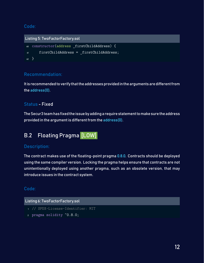#### Code:

```
Listing 5: TwoFactorFactory.sol
60 constructor(address _firstChildAddress) {
61 firstChildAddress = firstChildAddress;
62 }
```
#### Recommendation:

It is recommended to verify that the addresses provided in the arguments are different from the address(0).

#### <span id="page-11-1"></span>Status - Fixed

TheSecur3 team has fixed theissue by adding a require statement tomake sure the address provided in the argument is different from the address(0).

## <span id="page-11-0"></span>B.2 Floating Pragma [LOW]

#### <span id="page-11-2"></span>Description:

The contract makes use of the floating-point pragma 0.8.0. Contracts should be deployed using the same compiler version. Locking the pragma helps ensure that contracts are not unintentionally deployed using another pragma, such as an obsolete version, that may introduce issues in the contract system.

#### Code:

#### Listing 6: TwoFactorFactory.sol

- <sup>1</sup> // SPDX-License-Identifier: MIT
- <sup>2</sup> pragma solidity ^0.8.0;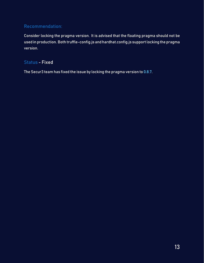#### Recommendation:

Consider locking the pragma version. It is advised that the floating pragma should not be used in production. Both truffle-config.js and hardhat.config.js support locking the pragma version.

#### <span id="page-12-0"></span>Status - Fixed

The Secur3 team has fixed the issue by locking the pragma version to 0.8.7.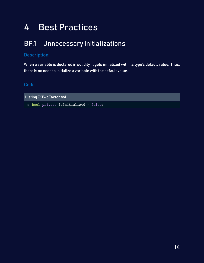# <span id="page-13-0"></span>4 Best Practices

# <span id="page-13-1"></span>BP.1 Unnecessary Initializations

#### Description:

When a variable is declared in solidity, it gets initialized with its type's default value. Thus, there is no need to initialize a variable with the default value.

#### Code:

Listing 7: TwoFactor.sol

<sup>15</sup> bool private isInitialized = false;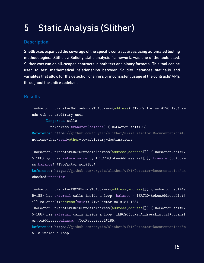# <span id="page-14-0"></span>5 Static Analysis (Slither)

#### Description:

ShellBoxes expanded the coverage of the specific contract areas using automated testing methodologies. Slither, a Solidity static analysis framework, was one of the tools used. Slither was run on all-scoped contracts in both text and binary formats. This tool can be used to test mathematical relationships between Solidity instances statically and variables that allow for the detection of errors or inconsistent usage of the contracts' APIs throughout the entire codebase.

#### Results:

TwoFactor.\_transferNativeFundsToAddress(address) (TwoFactor.sol#190-195) se nds eth to arbitrary user

Dangerous calls:

- toAddress.transfer(balance) (TwoFactor.sol#193)

Reference: https://github.com/crytic/slither/wiki/Detector-Documentation#fu nctions-that-send-ether-to-arbitrary-destinations

TwoFactor. transferERC20FundsToAddress(address,address[]) (TwoFactor.sol#17 5-188) ignores return value by IERC20(tokenAddressList[i]).transfer(toAddre ss,balance) (TwoFactor.sol#185)

Reference: https://github.com/crytic/slither/wiki/Detector-Documentation#un checked-transfer

```
TwoFactor._transferERC20FundsToAddress(address,address[]) (TwoFactor.sol#17
5-188) has external calls inside a loop: balance = IERC20(tokenAddressList[
i]).balanceOf(address(this)) (TwoFactor.sol#181-183)
```
TwoFactor.\_transferERC20FundsToAddress(address,address[]) (TwoFactor.sol#17 5-188) has external calls inside a loop: IERC20(tokenAddressList[i]).transf er(toAddress,balance) (TwoFactor.sol#185)

Reference: https://github.com/crytic/slither/wiki/Detector-Documentation/#c alls-inside-a-loop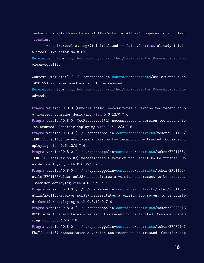TwoFactor.init(address,bytes32) (TwoFactor.sol#17-22) compares to a boolean constant:

-require(bool,string)(isInitialized == false,Contract already initi alized) (TwoFactor.sol#18)

Reference: https://github.com/crytic/slither/wiki/Detector-Documentation#bo olean-equality

Context.\_msgData() (../../openzeppelin-contracts/contracts/utils/Context.so l#20-22) is never used and should be removed

Reference: https://github.com/crytic/slither/wiki/Detector-Documentation#de ad-code

Pragma version<sup>o.8.0</sup> (Ownable.sol#2) necessitates a version too recent to b e trusted. Consider deploying with 0.6.12/0.7.6

Pragma version<sup>o.8.0</sup> (TwoFactor.sol#2) necessitates a version too recent to be trusted. Consider deploying with 0.6.12/0.7.6

Pragma version<sup>o</sup>0.8.0 (../../openzeppelin-contracts/contracts/token/ERC1155/ IERC1155.sol#3) necessitates a version too recent to be trusted. Consider d eploying with 0.6.12/0.7.6

Pragma version<sup>o</sup>0.8.0 (../../openzeppelin-contracts/contracts/token/ERC1155/ IERC1155Receiver.sol#3) necessitates a version too recent to be trusted. Co nsider deploying with 0.6.12/0.7.6

Pragma version<sup>o</sup>0.8.0 (../../openzeppelin-contracts/contracts/token/ERC1155/ utils/ERC1155Holder.sol#3) necessitates a version too recent to be trusted. Consider deploying with 0.6.12/0.7.6

Pragma version<sup>o.8.0</sup> (../../openzeppelin-contracts/contracts/token/ERC1155/ utils/ERC1155Receiver.sol#3) necessitates a version too recent to be truste d. Consider deploying with 0.6.12/0.7.6

Pragma version<sup>o.8.0</sup> (../../openzeppelin-contracts/contracts/token/ERC20/IE RC20.sol#3) necessitates a version too recent to be trusted. Consider deplo ying with 0.6.12/0.7.6

Pragma version<sup>o.8.0</sup> (../../openzeppelin-contracts/contracts/token/ERC721/I ERC721.sol#3) necessitates a version too recent to be trusted. Consider dep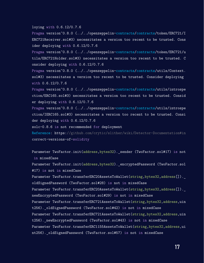loying with 0.6.12/0.7.6

Pragma version<sup>o.8.0</sup> (../../openzeppelin-contracts/contracts/token/ERC721/I ERC721Receiver.sol#3) necessitates a version too recent to be trusted. Cons ider deploying with 0.6.12/0.7.6

Pragma version<sup>o.8.0</sup> (../../openzeppelin-contracts/contracts/token/ERC721/u tils/ERC721Holder.sol#3) necessitates a version too recent to be trusted. C onsider deploying with 0.6.12/0.7.6

Pragma version^0.8.0 (../../openzeppelin-contracts/contracts/utils/Context. sol#3) necessitates a version too recent to be trusted. Consider deploying with 0.6.12/0.7.6

Pragma version<sup>o</sup>0.8.0 (../../openzeppelin-contracts/contracts/utils/introspe ction/ERC165.sol#3) necessitates a version too recent to be trusted. Consid er deploying with 0.6.12/0.7.6

Pragma version^0.8.0 (../../openzeppelin-contracts/contracts/utils/introspe ction/IERC165.sol#3) necessitates a version too recent to be trusted. Consi der deploying with 0.6.12/0.7.6

solc-0.8.6 is not recommended for deployment

Reference: https://github.com/crytic/slither/wiki/Detector-Documentation#in correct-versions-of-solidity

Parameter TwoFactor.init(address,bytes32). sender (TwoFactor.sol#17) is not in mixedCase

Parameter TwoFactor.init(address,bytes32). encryptedPassword (TwoFactor.sol #17) is not in mixedCase

Parameter TwoFactor.transferERC20AssetsToWallet(string,bytes32,address[]). oldSignedPassword (TwoFactor.sol#28) is not in mixedCase

Parameter TwoFactor.transferERC20AssetsToWallet(string,bytes32,address[]). newEncryptedPassword (TwoFactor.sol#29) is not in mixedCase

Parameter TwoFactor.transferERC721AssetsToWallet(string,bytes32,address,uin t256).\_oldSignedPassword (TwoFactor.sol#42) is not in mixedCase

Parameter TwoFactor.transferERC721AssetsToWallet(string,bytes32,address,uin t256).\_newEncryptedPassword (TwoFactor.sol#43) is not in mixedCase

Parameter TwoFactor.transferERC1155AssetsToWallet(string,bytes32,address,ui nt256). oldSignedPassword (TwoFactor.sol#57) is not in mixedCase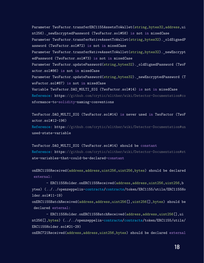Parameter TwoFactor.transferERC1155AssetsToWallet(string,bytes32,address,ui nt256). newEncryptedPassword (TwoFactor.sol#58) is not in mixedCase Parameter TwoFactor.transferNativeAssetToWallet(string,bytes32).\_oldSignedP assword (TwoFactor.sol#72) is not in mixedCase Parameter TwoFactor.transferNativeAssetToWallet(string,bytes32). newEncrypt edPassword (TwoFactor.sol#73) is not in mixedCase Parameter TwoFactor.updatePassword(string,bytes32). oldSignedPassword (TwoF actor.sol#86) is not in mixedCase Parameter TwoFactor.updatePassword(string,bytes32). newEncryptedPassword (T woFactor.sol#87) is not in mixedCase Variable TwoFactor.DAO\_MULTI\_SIG (TwoFactor.sol#14) is not in mixedCase Reference: https://github.com/crytic/slither/wiki/Detector-Documentation#co nformance-to-solidity-naming-conventions

TwoFactor.DAO\_MULTI\_SIG (TwoFactor.sol#14) is never used in TwoFactor (TwoF actor.sol#12-196) Reference: https://github.com/crytic/slither/wiki/Detector-Documentation#un used-state-variable

TwoFactor.DAO\_MULTI\_SIG (TwoFactor.sol#14) should be constant Reference: https://github.com/crytic/slither/wiki/Detector-Documentation#st ate-variables-that-could-be-declared-constant

onERC1155Received(address,address,uint256,uint256,bytes) should be declared external:

- ERC1155Holder.onERC1155Received(address,address,uint256,uint256,b ytes) (../../openzeppelin-contracts/contracts/token/ERC1155/utils/ERC1155Ho lder.sol#11-19)

onERC1155BatchReceived(address,address,uint256[],uint256[],bytes) should be declared external:

- ERC1155Holder.onERC1155BatchReceived(address,address,uint256[],ui nt256[],bytes) (../../openzeppelin-contracts/contracts/token/ERC1155/utils/ ERC1155Holder.sol#21-29)

onERC721Received(address,address,uint256,bytes) should be declared external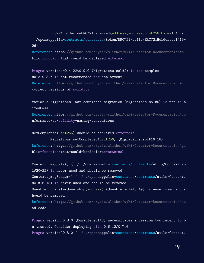- ERC721Holder.onERC721Received(address,address,uint256,bytes) (../ ../openzeppelin-contracts/contracts/token/ERC721/utils/ERC721Holder.sol#19- 26)

Reference: https://github.com/crytic/slither/wiki/Detector-Documentation#pu blic-function-that-could-be-declared-external

```
Pragma version>=0.4.22<0.9.0 (Migrations.sol#2) is too complex
solc-0.8.6 is not recommended for deployment
Reference: https://github.com/crytic/slither/wiki/Detector-Documentation#in
correct-versions-of-solidity
```

```
Variable Migrations.last_completed_migration (Migrations.sol#6) is not in m
ixedCase
```

```
Reference: https://github.com/crytic/slither/wiki/Detector-Documentation#co
nformance-to-solidity-naming-conventions
```

```
setCompleted(uint256) should be declared external:
```
- Migrations.setCompleted(uint256) (Migrations.sol#16-18) Reference: https://github.com/crytic/slither/wiki/Detector-Documentation#pu blic-function-that-could-be-declared-external

```
Context. msgData() (../../openzeppelin-contracts/contracts/utils/Context.so
l#20-22) is never used and should be removed
Context._msgSender() (../../openzeppelin-contracts/contracts/utils/Context.
sol#16-18) is never used and should be removed
Ownable._transferOwnership(address) (Ownable.sol#45-49) is never used and s
hould be removed
Reference: https://github.com/crytic/slither/wiki/Detector-Documentation#de
ad-code
```

```
Pragma version<sup>o</sup>0.8.0 (Ownable.sol#2) necessitates a version too recent to b
e trusted. Consider deploying with 0.6.12/0.7.6
Pragma version<sup>o.8.0</sup> (../../openzeppelin-contracts/contracts/utils/Context.
```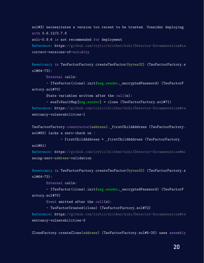sol#3) necessitates a version too recent to be trusted. Consider deploying with 0.6.12/0.7.6

solc-0.8.6 is not recommended for deployment

Reference: https://github.com/crytic/slither/wiki/Detector-Documentation#in correct-versions-of-solidity

Reentrancy in TwoFactorFactory.createTwoFactor(bytes32) (TwoFactorFactory.s ol#64-73):

External calls:

- ITwoFactor(clone).init(msg.sender, encryptedPassword) (TwoFactorF actory.sol#70)

State variables written after the call(s):

- eoaToVaultMap[msg.sender] = clone (TwoFactorFactory.sol#71) Reference: https://github.com/crytic/slither/wiki/Detector-Documentation#re entrancy-vulnerabilities-1

```
TwoFactorFactory.constructor(address). firstChildAddress (TwoFactorFactory.
sol#60) lacks a zero-check on :
```
- firstChildAddress = firstChildAddress (TwoFactorFactory.

sol#61)

Reference: https://github.com/crytic/slither/wiki/Detector-Documentation#mi ssing-zero-address-validation

Reentrancy in TwoFactorFactory.createTwoFactor(bytes32) (TwoFactorFactory.s  $01#64-73$ ):

External calls:

- ITwoFactor(clone).init(msg.sender, encryptedPassword) (TwoFactorF actory.sol#70)

Event emitted after the  $call(s)$ :

- TwoFactorCreated(clone) (TwoFactorFactory.sol#72)

Reference: https://github.com/crytic/slither/wiki/Detector-Documentation#re entrancy-vulnerabilities-3

CloneFactory.createClone(address) (TwoFactorFactory.sol#5-20) uses assembly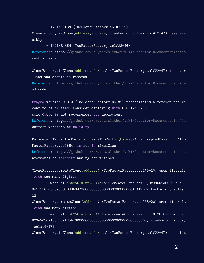- INLINE ASM (TwoFactorFactory.sol#7-19)

CloneFactory.isClone(address,address) (TwoFactorFactory.sol#22-47) uses ass embly

- INLINE ASM (TwoFactorFactory.sol#28-46)

Reference: https://github.com/crytic/slither/wiki/Detector-Documentation#as sembly-usage

CloneFactory.isClone(address,address) (TwoFactorFactory.sol#22-47) is never used and should be removed Reference: https://github.com/crytic/slither/wiki/Detector-Documentation#de ad-code

Pragma version<sup>o</sup>0.8.0 (TwoFactorFactory.sol#2) necessitates a version too re cent to be trusted. Consider deploying with 0.6.12/0.7.6 solc-0.8.6 is not recommended for deployment Reference: https://github.com/crytic/slither/wiki/Detector-Documentation#in correct-versions-of-solidity

Parameter TwoFactorFactory.createTwoFactor(bytes32). encryptedPassword (Two FactorFactory.sol#64) is not in mixedCase Reference: https://github.com/crytic/slither/wiki/Detector-Documentation#co nformance-to-solidity-naming-conventions

CloneFactory.createClone(address) (TwoFactorFactory.sol#5-20) uses literals with too many digits:

- mstore(uint256,uint256)(clone createClone asm 0,0x3d602d80600a3d3 981f3363d3d373d3d3d363d73000000000000000000000000) (TwoFactorFactory.sol#9- 12)

CloneFactory.createClone(address) (TwoFactorFactory.sol#5-20) uses literals with too many digits:

- mstore(uint256,uint256)(clone\_createClone\_asm\_0 + 0x28,0x5af43d82 803e903d91602b57fd5bf30000000000000000000000000000000000) (TwoFactorFactory .sol#14-17)

CloneFactory.isClone(address,address) (TwoFactorFactory.sol#22-47) uses lit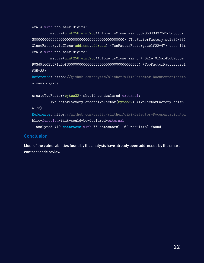erals with too many digits:

- mstore(uint256,uint256)(clone\_isClone\_asm\_0,0x363d3d373d3d3d363d7 300000000000000000000000000000000000000000000) (TwoFactorFactory.sol#30-33) CloneFactory.isClone(address,address) (TwoFactorFactory.sol#22-47) uses lit erals with too many digits:

```
- mstore(uint256,uint256)(clone_isClone_asm_0 + 0x1e,0x5af43d82803e
903d91602b57fd5bf30000000000000000000000000000000000) (TwoFactorFactory.sol
#35-38)
```

```
Reference: https://github.com/crytic/slither/wiki/Detector-Documentation#to
o-many-digits
```

```
createTwoFactor(bytes32) should be declared external:
```

```
- TwoFactorFactory.createTwoFactor(bytes32) (TwoFactorFactory.sol#6
4-73)
```

```
Reference: https://github.com/crytic/slither/wiki/Detector-Documentation#pu
blic-function-that-could-be-declared-external
```
. analyzed (19 contracts with 75 detectors), 62 result(s) found

#### Conclusion:

Most of the vulnerabilities found by the analysis have already been addressed by the smart contract code review.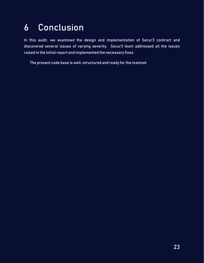# <span id="page-22-0"></span>6 Conclusion

In this audit, we examined the design and implementation of Secur3 contract and discovered several issues of varying severity. Secur3 team addressed all the issues raised in the initial report and implemented the necessary fixes.

The present code base is well-structured and ready for the mainnet.